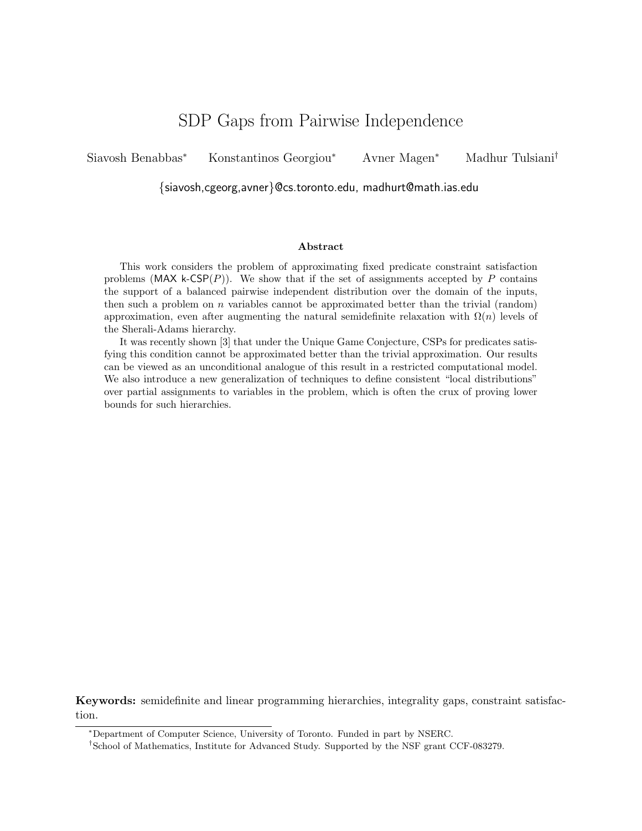# SDP Gaps from Pairwise Independence

Siavosh Benabbas<sup>∗</sup> Konstantinos Georgiou<sup>∗</sup> Avner Magen<sup>∗</sup> Madhur Tulsiani†

{siavosh,cgeorg,avner}@cs.toronto.edu, madhurt@math.ias.edu

#### Abstract

This work considers the problem of approximating fixed predicate constraint satisfaction problems (MAX k-CSP $(P)$ ). We show that if the set of assignments accepted by P contains the support of a balanced pairwise independent distribution over the domain of the inputs, then such a problem on n variables cannot be approximated better than the trivial (random) approximation, even after augmenting the natural semidefinite relaxation with  $\Omega(n)$  levels of the Sherali-Adams hierarchy.

It was recently shown [3] that under the Unique Game Conjecture, CSPs for predicates satisfying this condition cannot be approximated better than the trivial approximation. Our results can be viewed as an unconditional analogue of this result in a restricted computational model. We also introduce a new generalization of techniques to define consistent "local distributions" over partial assignments to variables in the problem, which is often the crux of proving lower bounds for such hierarchies.

Keywords: semidefinite and linear programming hierarchies, integrality gaps, constraint satisfaction.

<sup>∗</sup>Department of Computer Science, University of Toronto. Funded in part by NSERC.

<sup>†</sup>School of Mathematics, Institute for Advanced Study. Supported by the NSF grant CCF-083279.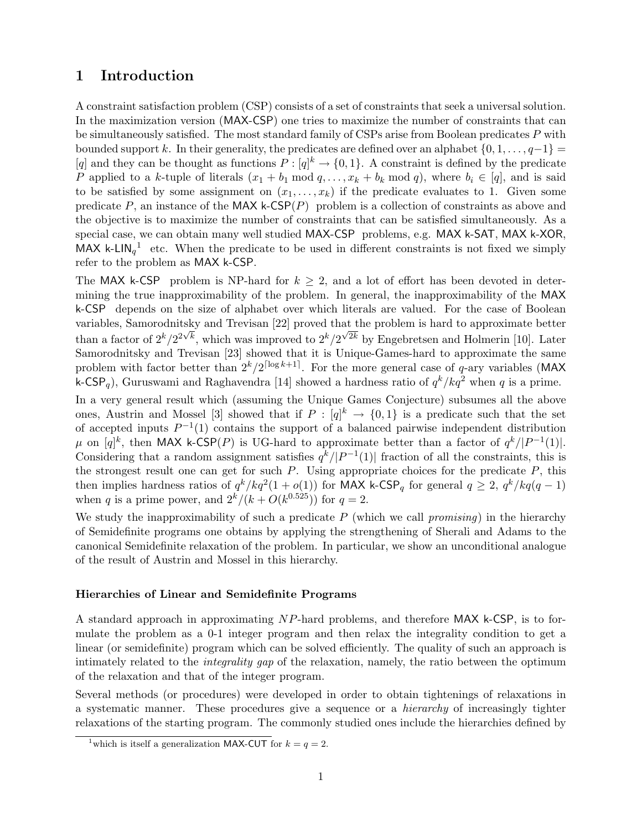# 1 Introduction

A constraint satisfaction problem (CSP) consists of a set of constraints that seek a universal solution. In the maximization version (MAX-CSP) one tries to maximize the number of constraints that can be simultaneously satisfied. The most standard family of CSPs arise from Boolean predicates P with bounded support k. In their generality, the predicates are defined over an alphabet  $\{0, 1, \ldots, q-1\}$  = [q] and they can be thought as functions  $P : [q]^k \to \{0,1\}$ . A constraint is defined by the predicate P applied to a k-tuple of literals  $(x_1 + b_1 \mod q, \ldots, x_k + b_k \mod q)$ , where  $b_i \in [q]$ , and is said to be satisfied by some assignment on  $(x_1, \ldots, x_k)$  if the predicate evaluates to 1. Given some predicate P, an instance of the MAX k-CSP $(P)$  problem is a collection of constraints as above and the objective is to maximize the number of constraints that can be satisfied simultaneously. As a special case, we can obtain many well studied MAX-CSP problems, e.g. MAX k-SAT, MAX k-XOR, MAX k-LIN<sub>q</sub><sup>1</sup> etc. When the predicate to be used in different constraints is not fixed we simply refer to the problem as MAX k-CSP.

The MAX k-CSP problem is NP-hard for  $k \geq 2$ , and a lot of effort has been devoted in determining the true inapproximability of the problem. In general, the inapproximability of the MAX k-CSP depends on the size of alphabet over which literals are valued. For the case of Boolean variables, Samorodnitsky and Trevisan [22] proved that the problem is hard to approximate better than a factor of  $2^k/2^{2\sqrt{k}}$ , which was improved to  $2^k/2^{\sqrt{2k}}$  by Engebretsen and Holmerin [10]. Later Samorodnitsky and Trevisan [23] showed that it is Unique-Games-hard to approximate the same problem with factor better than  $2^k/2^{\lceil \log k+1 \rceil}$ . For the more general case of q-ary variables (MAX k-CSP<sub>q</sub>), Guruswami and Raghavendra [14] showed a hardness ratio of  $q^k / kq^2$  when q is a prime.

In a very general result which (assuming the Unique Games Conjecture) subsumes all the above ones, Austrin and Mossel [3] showed that if  $P: [q]^k \to \{0,1\}$  is a predicate such that the set of accepted inputs  $P^{-1}(1)$  contains the support of a balanced pairwise independent distribution  $\mu$  on [q]<sup>k</sup>, then MAX k-CSP(P) is UG-hard to approximate better than a factor of  $q^{k}/|P^{-1}(1)|$ . Considering that a random assignment satisfies  $q^{k}/|P^{-1}(1)|$  fraction of all the constraints, this is the strongest result one can get for such  $P$ . Using appropriate choices for the predicate  $P$ , this then implies hardness ratios of  $q^k / kq^2(1 + o(1))$  for MAX k-CSP<sub>q</sub> for general  $q \geq 2$ ,  $q^k / kq(q-1)$ when q is a prime power, and  $2^k/(k+O(k^{0.525}))$  for  $q=2$ .

We study the inapproximability of such a predicate  $P$  (which we call *promising*) in the hierarchy of Semidefinite programs one obtains by applying the strengthening of Sherali and Adams to the canonical Semidefinite relaxation of the problem. In particular, we show an unconditional analogue of the result of Austrin and Mossel in this hierarchy.

#### Hierarchies of Linear and Semidefinite Programs

A standard approach in approximating NP-hard problems, and therefore MAX k-CSP, is to formulate the problem as a 0-1 integer program and then relax the integrality condition to get a linear (or semidefinite) program which can be solved efficiently. The quality of such an approach is intimately related to the integrality gap of the relaxation, namely, the ratio between the optimum of the relaxation and that of the integer program.

Several methods (or procedures) were developed in order to obtain tightenings of relaxations in a systematic manner. These procedures give a sequence or a hierarchy of increasingly tighter relaxations of the starting program. The commonly studied ones include the hierarchies defined by

<sup>&</sup>lt;sup>1</sup>which is itself a generalization MAX-CUT for  $k = q = 2$ .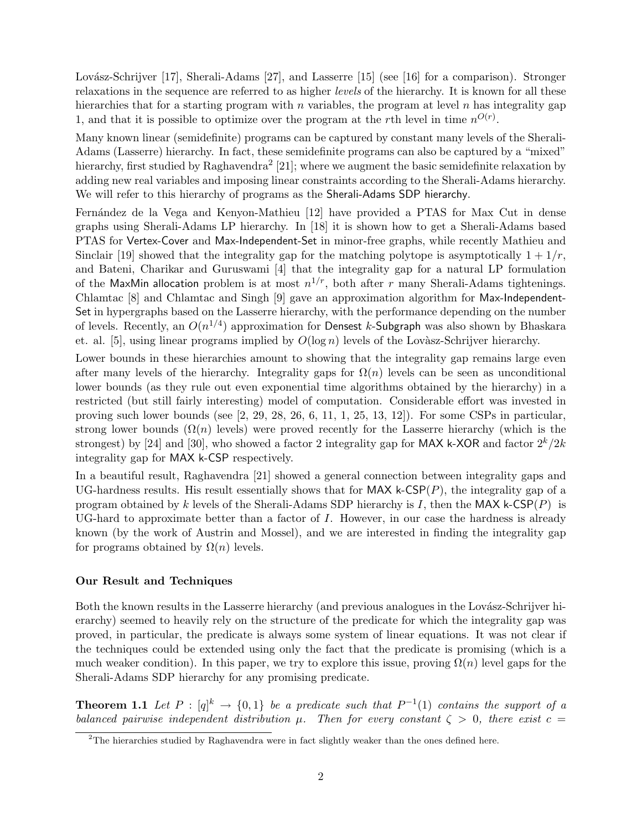Lovász-Schrijver [17], Sherali-Adams [27], and Lasserre [15] (see [16] for a comparison). Stronger relaxations in the sequence are referred to as higher levels of the hierarchy. It is known for all these hierarchies that for a starting program with  $n$  variables, the program at level  $n$  has integrality gap 1, and that it is possible to optimize over the program at the rth level in time  $n^{O(r)}$ .

Many known linear (semidefinite) programs can be captured by constant many levels of the Sherali-Adams (Lasserre) hierarchy. In fact, these semidefinite programs can also be captured by a "mixed" hierarchy, first studied by Raghavendra<sup>2</sup> [21]; where we augment the basic semidefinite relaxation by adding new real variables and imposing linear constraints according to the Sherali-Adams hierarchy. We will refer to this hierarchy of programs as the Sherali-Adams SDP hierarchy.

Fernández de la Vega and Kenyon-Mathieu [12] have provided a PTAS for Max Cut in dense graphs using Sherali-Adams LP hierarchy. In [18] it is shown how to get a Sherali-Adams based PTAS for Vertex-Cover and Max-Independent-Set in minor-free graphs, while recently Mathieu and Sinclair [19] showed that the integrality gap for the matching polytope is asymptotically  $1 + 1/r$ , and Bateni, Charikar and Guruswami [4] that the integrality gap for a natural LP formulation of the MaxMin allocation problem is at most  $n^{1/r}$ , both after r many Sherali-Adams tightenings. Chlamtac [8] and Chlamtac and Singh [9] gave an approximation algorithm for Max-Independent-Set in hypergraphs based on the Lasserre hierarchy, with the performance depending on the number of levels. Recently, an  $O(n^{1/4})$  approximation for Densest k-Subgraph was also shown by Bhaskara et. al. [5], using linear programs implied by  $O(\log n)$  levels of the Lovàsz-Schrijver hierarchy.

Lower bounds in these hierarchies amount to showing that the integrality gap remains large even after many levels of the hierarchy. Integrality gaps for  $\Omega(n)$  levels can be seen as unconditional lower bounds (as they rule out even exponential time algorithms obtained by the hierarchy) in a restricted (but still fairly interesting) model of computation. Considerable effort was invested in proving such lower bounds (see  $[2, 29, 28, 26, 6, 11, 1, 25, 13, 12]$ ). For some CSPs in particular, strong lower bounds  $(\Omega(n)$  levels) were proved recently for the Lasserre hierarchy (which is the strongest) by [24] and [30], who showed a factor 2 integrality gap for MAX k-XOR and factor  $2^k/2k$ integrality gap for MAX k-CSP respectively.

In a beautiful result, Raghavendra [21] showed a general connection between integrality gaps and UG-hardness results. His result essentially shows that for  $MAX$  k-CSP $(P)$ , the integrality gap of a program obtained by k levels of the Sherali-Adams SDP hierarchy is I, then the MAX k-CSP(P) is UG-hard to approximate better than a factor of I. However, in our case the hardness is already known (by the work of Austrin and Mossel), and we are interested in finding the integrality gap for programs obtained by  $\Omega(n)$  levels.

#### Our Result and Techniques

Both the known results in the Lasserre hierarchy (and previous analogues in the Lovász-Schrijver hierarchy) seemed to heavily rely on the structure of the predicate for which the integrality gap was proved, in particular, the predicate is always some system of linear equations. It was not clear if the techniques could be extended using only the fact that the predicate is promising (which is a much weaker condition). In this paper, we try to explore this issue, proving  $\Omega(n)$  level gaps for the Sherali-Adams SDP hierarchy for any promising predicate.

**Theorem 1.1** Let  $P : [q]^k \to \{0,1\}$  be a predicate such that  $P^{-1}(1)$  contains the support of a balanced pairwise independent distribution  $\mu$ . Then for every constant  $\zeta > 0$ , there exist  $c =$ 

<sup>2</sup>The hierarchies studied by Raghavendra were in fact slightly weaker than the ones defined here.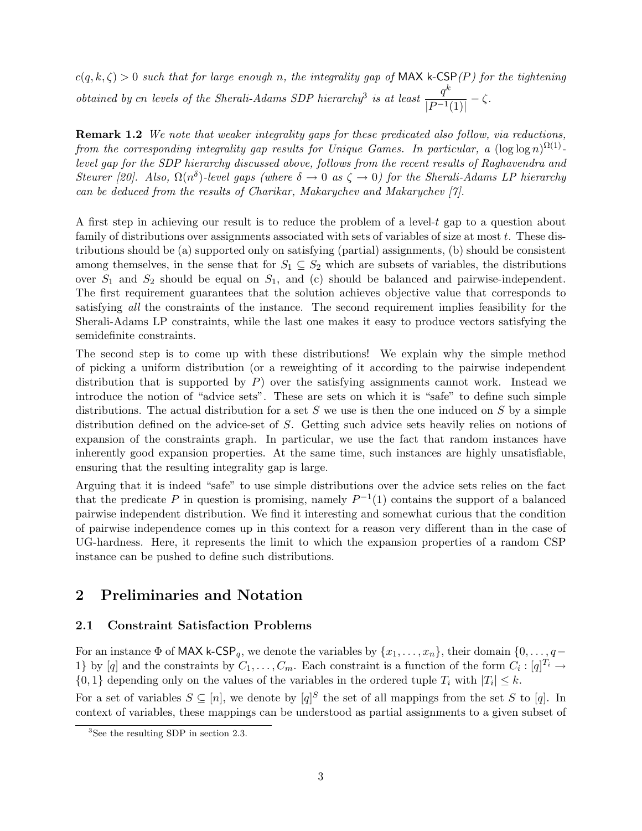$c(q, k, \zeta) > 0$  such that for large enough n, the integrality gap of MAX k-CSP(P) for the tightening obtained by cn levels of the Sherali-Adams SDP hierarchy<sup>3</sup> is at least  $\frac{q^k}{1-\epsilon}$  $\frac{q}{|P^{-1}(1)|}-\zeta.$ 

Remark 1.2 We note that weaker integrality gaps for these predicated also follow, via reductions, from the corresponding integrality gap results for Unique Games. In particular, a  $(\log \log n)^{\Omega(1)}$ level gap for the SDP hierarchy discussed above, follows from the recent results of Raghavendra and Steurer [20]. Also,  $\Omega(n^{\delta})$ -level gaps (where  $\delta \to 0$  as  $\zeta \to 0$ ) for the Sherali-Adams LP hierarchy can be deduced from the results of Charikar, Makarychev and Makarychev [7].

A first step in achieving our result is to reduce the problem of a level- $t$  gap to a question about family of distributions over assignments associated with sets of variables of size at most  $t$ . These distributions should be (a) supported only on satisfying (partial) assignments, (b) should be consistent among themselves, in the sense that for  $S_1 \subseteq S_2$  which are subsets of variables, the distributions over  $S_1$  and  $S_2$  should be equal on  $S_1$ , and (c) should be balanced and pairwise-independent. The first requirement guarantees that the solution achieves objective value that corresponds to satisfying all the constraints of the instance. The second requirement implies feasibility for the Sherali-Adams LP constraints, while the last one makes it easy to produce vectors satisfying the semidefinite constraints.

The second step is to come up with these distributions! We explain why the simple method of picking a uniform distribution (or a reweighting of it according to the pairwise independent distribution that is supported by  $P$ ) over the satisfying assignments cannot work. Instead we introduce the notion of "advice sets". These are sets on which it is "safe" to define such simple distributions. The actual distribution for a set  $S$  we use is then the one induced on  $S$  by a simple distribution defined on the advice-set of S. Getting such advice sets heavily relies on notions of expansion of the constraints graph. In particular, we use the fact that random instances have inherently good expansion properties. At the same time, such instances are highly unsatisfiable, ensuring that the resulting integrality gap is large.

Arguing that it is indeed "safe" to use simple distributions over the advice sets relies on the fact that the predicate P in question is promising, namely  $P^{-1}(1)$  contains the support of a balanced pairwise independent distribution. We find it interesting and somewhat curious that the condition of pairwise independence comes up in this context for a reason very different than in the case of UG-hardness. Here, it represents the limit to which the expansion properties of a random CSP instance can be pushed to define such distributions.

# 2 Preliminaries and Notation

### 2.1 Constraint Satisfaction Problems

For an instance  $\Phi$  of MAX k-CSP<sub>q</sub>, we denote the variables by  $\{x_1, \ldots, x_n\}$ , their domain  $\{0, \ldots, q-\}$ 1} by [q] and the constraints by  $C_1, \ldots, C_m$ . Each constraint is a function of the form  $C_i : [q]^{T_i} \to$  $\{0,1\}$  depending only on the values of the variables in the ordered tuple  $T_i$  with  $|T_i| \leq k$ .

For a set of variables  $S \subseteq [n]$ , we denote by  $[q]^S$  the set of all mappings from the set S to [q]. In context of variables, these mappings can be understood as partial assignments to a given subset of

<sup>3</sup>See the resulting SDP in section 2.3.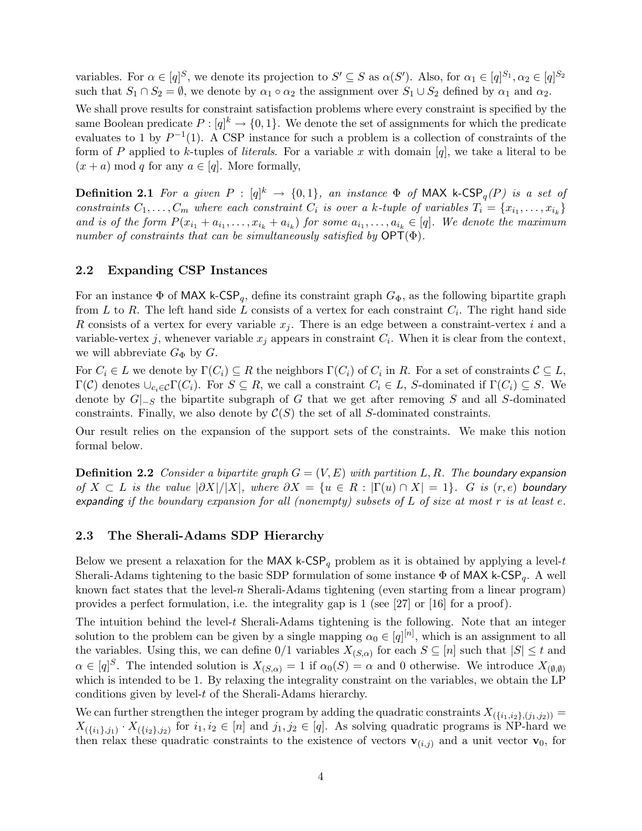variables. For  $\alpha \in [q]^S$ , we denote its projection to  $S' \subseteq S$  as  $\alpha(S')$ . Also, for  $\alpha_1 \in [q]^{S_1}, \alpha_2 \in [q]^{S_2}$ such that  $S_1 \cap S_2 = \emptyset$ , we denote by  $\alpha_1 \circ \alpha_2$  the assignment over  $S_1 \cup S_2$  defined by  $\alpha_1$  and  $\alpha_2$ .

We shall prove results for constraint satisfaction problems where every constraint is specified by the same Boolean predicate  $P: [q]^k \to \{0, 1\}$ . We denote the set of assignments for which the predicate evaluates to 1 by  $P^{-1}(1)$ . A CSP instance for such a problem is a collection of constraints of the form of P applied to k-tuples of literals. For a variable x with domain  $[q]$ , we take a literal to be  $(x + a) \text{ mod } q$  for any  $a \in [q]$ . More formally,

**Definition 2.1** For a given  $P : [q]^k \rightarrow \{0,1\}$ , an instance  $\Phi$  of MAX k-CSP<sub>q</sub>(P) is a set of constraints  $C_1, \ldots, C_m$  where each constraint  $C_i$  is over a k-tuple of variables  $T_i = \{x_{i_1}, \ldots, x_{i_k}\}\$ and is of the form  $P(x_{i_1} + a_{i_1}, \ldots, x_{i_k} + a_{i_k})$  for some  $a_{i_1}, \ldots, a_{i_k} \in [q]$ . We denote the maximum number of constraints that can be simultaneously satisfied by  $\mathsf{OPT}(\Phi)$ .

#### 2.2 Expanding CSP Instances

For an instance  $\Phi$  of MAX k-CSP<sub>q</sub>, define its constraint graph  $G_{\Phi}$ , as the following bipartite graph from L to R. The left hand side L consists of a vertex for each constraint  $C_i$ . The right hand side R consists of a vertex for every variable  $x_j$ . There is an edge between a constraint-vertex i and a variable-vertex j, whenever variable  $x_j$  appears in constraint  $C_i$ . When it is clear from the context, we will abbreviate  $G_{\Phi}$  by  $G$ .

For  $C_i \in L$  we denote by  $\Gamma(C_i) \subseteq R$  the neighbors  $\Gamma(C_i)$  of  $C_i$  in R. For a set of constraints  $C \subseteq L$ ,  $\Gamma(\mathcal{C})$  denotes  $\cup_{c_i\in\mathcal{C}}\Gamma(C_i)$ . For  $S\subseteq R$ , we call a constraint  $C_i\in L$ , S-dominated if  $\Gamma(C_i)\subseteq S$ . We denote by  $G|_{-S}$  the bipartite subgraph of G that we get after removing S and all S-dominated constraints. Finally, we also denote by  $\mathcal{C}(S)$  the set of all S-dominated constraints.

Our result relies on the expansion of the support sets of the constraints. We make this notion formal below.

**Definition 2.2** Consider a bipartite graph  $G = (V, E)$  with partition L, R. The boundary expansion of  $X \subset L$  is the value  $|\partial X|/|X|$ , where  $\partial X = \{u \in R : |\Gamma(u) \cap X| = 1\}$ . G is  $(r, e)$  boundary expanding if the boundary expansion for all (nonempty) subsets of L of size at most r is at least e.

#### 2.3 The Sherali-Adams SDP Hierarchy

Below we present a relaxation for the MAX k-CSP<sub>q</sub> problem as it is obtained by applying a level-t Sherali-Adams tightening to the basic SDP formulation of some instance  $\Phi$  of MAX k-CSP<sub>q</sub>. A well known fact states that the level-n Sherali-Adams tightening (even starting from a linear program) provides a perfect formulation, i.e. the integrality gap is 1 (see [27] or [16] for a proof).

The intuition behind the level- $t$  Sherali-Adams tightening is the following. Note that an integer solution to the problem can be given by a single mapping  $\alpha_0 \in [q]^{[n]}$ , which is an assignment to all the variables. Using this, we can define  $0/1$  variables  $X_{(S,\alpha)}$  for each  $S \subseteq [n]$  such that  $|S| \leq t$  and  $\alpha \in [q]^S$ . The intended solution is  $X_{(S,\alpha)} = 1$  if  $\alpha_0(S) = \alpha$  and 0 otherwise. We introduce  $X_{(\emptyset,\emptyset)}$ which is intended to be 1. By relaxing the integrality constraint on the variables, we obtain the LP conditions given by level-t of the Sherali-Adams hierarchy.

We can further strengthen the integer program by adding the quadratic constraints  $X_{(\{i_1,i_2\},(j_1,j_2))}$  =  $X_{(\{i_1\},j_1)} \cdot X_{(\{i_2\},j_2)}$  for  $i_1, i_2 \in [n]$  and  $j_1, j_2 \in [q]$ . As solving quadratic programs is NP-hard we then relax these quadratic constraints to the existence of vectors  $\mathbf{v}_{(i,j)}$  and a unit vector  $\mathbf{v}_0$ , for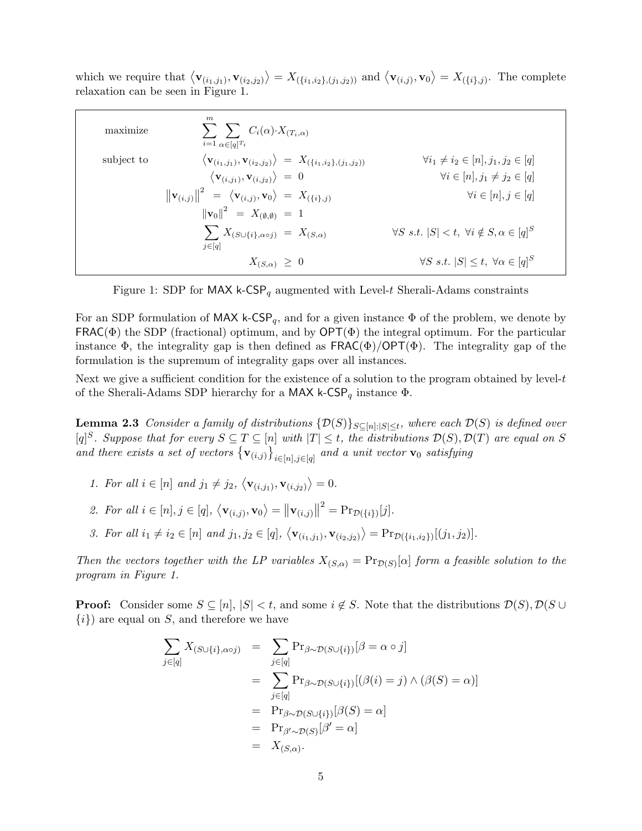which we require that  $\langle \mathbf{v}_{(i_1,j_1)}, \mathbf{v}_{(i_2,j_2)} \rangle = X_{(\{i_1,i_2\},(j_1,j_2))}$  and  $\langle \mathbf{v}_{(i,j)}, \mathbf{v}_0 \rangle = X_{(\{i\},j)}$ . The complete relaxation can be seen in Figure 1.

| maximize   | m<br>$\sum_{i} \sum_{i} C_i(\alpha) \cdot X_{(T_i,\alpha)}$<br>$i=1$ $\alpha \in [q]^T$                               |                                                                      |
|------------|-----------------------------------------------------------------------------------------------------------------------|----------------------------------------------------------------------|
| subject to | $\langle \mathbf{v}_{(i_1,j_1)}, \mathbf{v}_{(i_2,j_2)} \rangle = X_{(\{i_1,i_2\},(j_1,j_2))}$                        | $\forall i_1 \neq i_2 \in [n], j_1, j_2 \in [q]$                     |
|            | $\langle \mathbf{v}_{(i,j_1)}, \mathbf{v}_{(i,j_2)} \rangle = 0$                                                      | $\forall i \in [n], j_1 \neq j_2 \in [q]$                            |
|            | $\left\  \mathbf{v}_{(i,j)} \right\ ^2 = \left\langle \mathbf{v}_{(i,j)}, \mathbf{v}_0 \right\rangle = X_{(\{i\},j)}$ | $\forall i \in [n], j \in [q]$                                       |
|            | $\left\ \mathbf{v}_0\right\ ^2 = X_{(\emptyset,\emptyset)} = 1$                                                       |                                                                      |
|            | $\sum X_{(S\cup\{i\},\alpha\circ j)} = X_{(S,\alpha)}$                                                                | $\forall S \ s.t. \  S  < t, \ \forall i \notin S, \alpha \in [q]^S$ |
|            | $j \in [q]$                                                                                                           |                                                                      |
|            | $X_{(S,\alpha)} \geq 0$                                                                                               | $\forall S \ s.t. \  S  \leq t, \ \forall \alpha \in [q]^S$          |

Figure 1: SDP for MAX k-CSP<sub>q</sub> augmented with Level-t Sherali-Adams constraints

For an SDP formulation of MAX k-CSP<sub>q</sub>, and for a given instance  $\Phi$  of the problem, we denote by  $FRAC(\Phi)$  the SDP (fractional) optimum, and by  $\text{OPT}(\Phi)$  the integral optimum. For the particular instance  $\Phi$ , the integrality gap is then defined as  $FRAC(\Phi)/OPT(\Phi)$ . The integrality gap of the formulation is the supremum of integrality gaps over all instances.

Next we give a sufficient condition for the existence of a solution to the program obtained by level-t of the Sherali-Adams SDP hierarchy for a MAX k-CSP<sub>q</sub> instance  $\Phi$ .

**Lemma 2.3** Consider a family of distributions  $\{\mathcal{D}(S)\}_{S\subseteq[n]:|S|\leq t}$ , where each  $\mathcal{D}(S)$  is defined over  $[q]^S$ . Suppose that for every  $S \subseteq T \subseteq [n]$  with  $|T| \leq t$ , the distributions  $\mathcal{D}(S), \mathcal{D}(T)$  are equal on S and there exists a set of vectors  ${ {\bf v}_{(i,j)} \}_{i \in [n], j \in [q]}$  and a unit vector  ${\bf v}_0$  satisfying

1. For all  $i \in [n]$  and  $j_1 \neq j_2$ ,  $\langle \mathbf{v}_{(i,j_1)}, \mathbf{v}_{(i,j_2)} \rangle = 0$ .

2. For all 
$$
i \in [n], j \in [q], \langle \mathbf{v}_{(i,j)}, \mathbf{v}_0 \rangle = ||\mathbf{v}_{(i,j)}||^2 = \Pr_{\mathcal{D}(\{i\})}[j].
$$

3. For all  $i_1 \neq i_2 \in [n]$  and  $j_1, j_2 \in [q], \langle \mathbf{v}_{(i_1,j_1)}, \mathbf{v}_{(i_2,j_2)} \rangle = Pr_{\mathcal{D}(\{i_1,i_2\})}[(j_1,j_2)].$ 

Then the vectors together with the LP variables  $X_{(S,\alpha)} = \Pr_{\mathcal{D}(S)}[\alpha]$  form a feasible solution to the program in Figure 1.

**Proof:** Consider some  $S \subseteq [n]$ ,  $|S| < t$ , and some  $i \notin S$ . Note that the distributions  $\mathcal{D}(S)$ ,  $\mathcal{D}(S \cup$  $\{i\}$  are equal on S, and therefore we have

$$
\sum_{j \in [q]} X_{(S \cup \{i\}, \alpha \circ j)} = \sum_{j \in [q]} \Pr_{\beta \sim \mathcal{D}(S \cup \{i\})} [\beta = \alpha \circ j]
$$

$$
= \sum_{j \in [q]} \Pr_{\beta \sim \mathcal{D}(S \cup \{i\})} [(\beta(i) = j) \land (\beta(S) = \alpha)]
$$

$$
= \Pr_{\beta \sim \mathcal{D}(S \cup \{i\})} [\beta(S) = \alpha]
$$

$$
= \Pr_{\beta' \sim \mathcal{D}(S)} [\beta' = \alpha]
$$

$$
= X_{(S, \alpha)}.
$$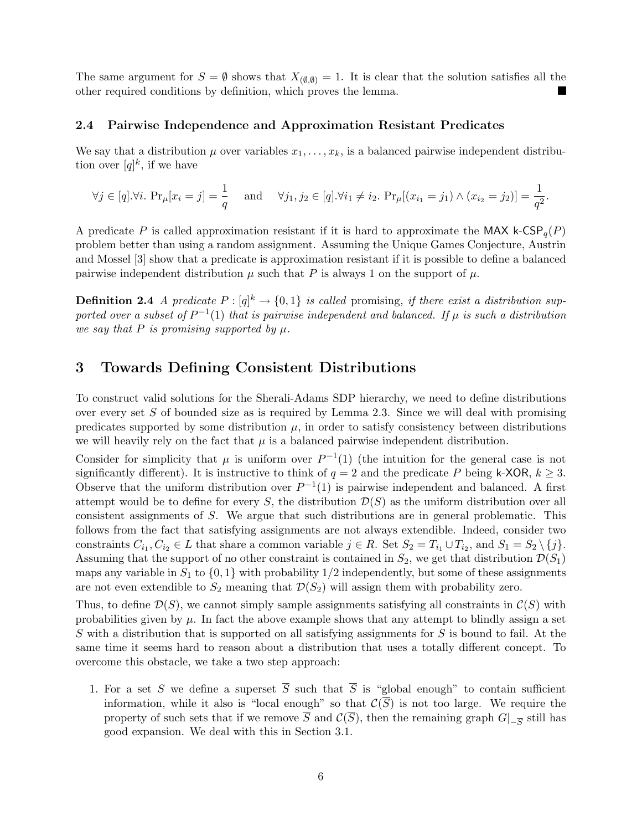The same argument for  $S = \emptyset$  shows that  $X_{(\emptyset,\emptyset)} = 1$ . It is clear that the solution satisfies all the other required conditions by definition, which proves the lemma. L.

#### 2.4 Pairwise Independence and Approximation Resistant Predicates

We say that a distribution  $\mu$  over variables  $x_1, \ldots, x_k$ , is a balanced pairwise independent distribution over  $[q]^k$ , if we have

$$
\forall j \in [q]. \forall i. \Pr_{\mu}[x_i = j] = \frac{1}{q} \text{ and } \forall j_1, j_2 \in [q]. \forall i_1 \neq i_2. \Pr_{\mu}[(x_{i_1} = j_1) \land (x_{i_2} = j_2)] = \frac{1}{q^2}.
$$

A predicate P is called approximation resistant if it is hard to approximate the MAX k-CSP<sub>q</sub>(P) problem better than using a random assignment. Assuming the Unique Games Conjecture, Austrin and Mossel [3] show that a predicate is approximation resistant if it is possible to define a balanced pairwise independent distribution  $\mu$  such that P is always 1 on the support of  $\mu$ .

**Definition 2.4** A predicate  $P : [q]^k \to \{0,1\}$  is called promising, if there exist a distribution supported over a subset of  $P^{-1}(1)$  that is pairwise independent and balanced. If  $\mu$  is such a distribution we say that P is promising supported by  $\mu$ .

# 3 Towards Defining Consistent Distributions

To construct valid solutions for the Sherali-Adams SDP hierarchy, we need to define distributions over every set  $S$  of bounded size as is required by Lemma 2.3. Since we will deal with promising predicates supported by some distribution  $\mu$ , in order to satisfy consistency between distributions we will heavily rely on the fact that  $\mu$  is a balanced pairwise independent distribution.

Consider for simplicity that  $\mu$  is uniform over  $P^{-1}(1)$  (the intuition for the general case is not significantly different). It is instructive to think of  $q = 2$  and the predicate P being k-XOR,  $k \geq 3$ . Observe that the uniform distribution over  $P^{-1}(1)$  is pairwise independent and balanced. A first attempt would be to define for every S, the distribution  $\mathcal{D}(S)$  as the uniform distribution over all consistent assignments of S. We argue that such distributions are in general problematic. This follows from the fact that satisfying assignments are not always extendible. Indeed, consider two constraints  $C_{i_1}, C_{i_2} \in L$  that share a common variable  $j \in R$ . Set  $S_2 = T_{i_1} \cup T_{i_2}$ , and  $S_1 = S_2 \setminus \{j\}$ . Assuming that the support of no other constraint is contained in  $S_2$ , we get that distribution  $\mathcal{D}(S_1)$ maps any variable in  $S_1$  to  $\{0,1\}$  with probability 1/2 independently, but some of these assignments are not even extendible to  $S_2$  meaning that  $\mathcal{D}(S_2)$  will assign them with probability zero.

Thus, to define  $\mathcal{D}(S)$ , we cannot simply sample assignments satisfying all constraints in  $\mathcal{C}(S)$  with probabilities given by  $\mu$ . In fact the above example shows that any attempt to blindly assign a set S with a distribution that is supported on all satisfying assignments for S is bound to fail. At the same time it seems hard to reason about a distribution that uses a totally different concept. To overcome this obstacle, we take a two step approach:

1. For a set S we define a superset  $\overline{S}$  such that  $\overline{S}$  is "global enough" to contain sufficient information, while it also is "local enough" so that  $\mathcal{C}(\overline{S})$  is not too large. We require the property of such sets that if we remove S and  $\mathcal{C}(S)$ , then the remaining graph  $G|_{-\overline{S}}$  still has good expansion. We deal with this in Section 3.1.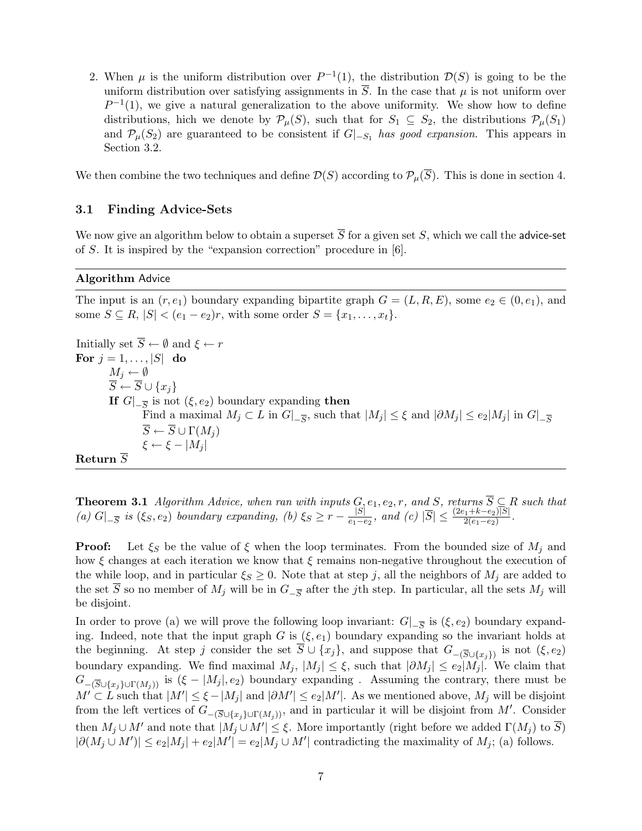2. When  $\mu$  is the uniform distribution over  $P^{-1}(1)$ , the distribution  $\mathcal{D}(S)$  is going to be the uniform distribution over satisfying assignments in  $S$ . In the case that  $\mu$  is not uniform over  $P^{-1}(1)$ , we give a natural generalization to the above uniformity. We show how to define distributions, hich we denote by  $\mathcal{P}_{\mu}(S)$ , such that for  $S_1 \subseteq S_2$ , the distributions  $\mathcal{P}_{\mu}(S_1)$ and  $\mathcal{P}_{\mu}(S_2)$  are guaranteed to be consistent if  $G|_{-S_1}$  has good expansion. This appears in Section 3.2.

We then combine the two techniques and define  $\mathcal{D}(S)$  according to  $\mathcal{P}_{\mu}(\overline{S})$ . This is done in section 4.

#### 3.1 Finding Advice-Sets

We now give an algorithm below to obtain a superset  $\overline{S}$  for a given set S, which we call the advice-set of S. It is inspired by the "expansion correction" procedure in [6].

#### Algorithm Advice

The input is an  $(r, e_1)$  boundary expanding bipartite graph  $G = (L, R, E)$ , some  $e_2 \in (0, e_1)$ , and some  $S \subseteq R$ ,  $|S| < (e_1 - e_2)r$ , with some order  $S = \{x_1, \ldots, x_t\}.$ 

Initially set  $\overline{S} \leftarrow \emptyset$  and  $\xi \leftarrow r$ For  $j = 1, \ldots, |S|$  do  $M_j \leftarrow \emptyset$  $\overline{S} \leftarrow \overline{S} \cup \{x_j\}$ If  $G|_{-\overline{S}}$  is not  $(\xi, e_2)$  boundary expanding then Find a maximal  $M_j \subset L$  in  $G|_{-\overline{S}}$ , such that  $|M_j| \leq \xi$  and  $|\partial M_j| \leq e_2|M_j|$  in  $G|_{-\overline{S}}$  $\overline{S} \leftarrow \overline{S} \cup \Gamma(M_i)$  $\xi \leftarrow \xi - |M_i|$ Return  $\overline{S}$ 

**Theorem 3.1** Algorithm Advice, when ran with inputs  $G, e_1, e_2, r$ , and S, returns  $\overline{S} \subseteq R$  such that (a)  $G|_{-\overline{S}}$  is  $(\xi_S, e_2)$  boundary expanding, (b)  $\xi_S \geq r - \frac{|S|}{e_1 - e_2}$  $\frac{|S|}{e_1-e_2}$ , and  $(c)$   $|\overline{S}| \leq \frac{(2e_1+k-e_2)|S|}{2(e_1-e_2)}$ .

**Proof:** Let  $\xi_S$  be the value of  $\xi$  when the loop terminates. From the bounded size of  $M_i$  and how  $\xi$  changes at each iteration we know that  $\xi$  remains non-negative throughout the execution of the while loop, and in particular  $\xi_s \geq 0$ . Note that at step j, all the neighbors of  $M_j$  are added to the set S so no member of  $M_j$  will be in  $G_{-\overline{S}}$  after the j<sup>th</sup> step. In particular, all the sets  $M_j$  will be disjoint.

In order to prove (a) we will prove the following loop invariant:  $G|_{-\overline{S}}$  is  $(\xi, e_2)$  boundary expanding. Indeed, note that the input graph G is  $(\xi, e_1)$  boundary expanding so the invariant holds at the beginning. At step j consider the set  $\overline{S} \cup \{x_j\}$ , and suppose that  $G_{-(\overline{S}\cup\{x_j\})}$  is not  $(\xi, e_2)$ boundary expanding. We find maximal  $M_j$ ,  $|M_j| \leq \xi$ , such that  $|\partial M_j| \leq e_2|M_j|$ . We claim that  $G_{-(\overline{S}\cup\{x_i\}\cup\Gamma(M_i))}$  is  $(\xi - |M_j|, e_2)$  boundary expanding . Assuming the contrary, there must be  $M' \subset L$  such that  $|M'| \leq \xi - |M_j|$  and  $|\partial M'| \leq e_2|M'|$ . As we mentioned above,  $M_j$  will be disjoint from the left vertices of  $G_{-(\overline{S}\cup\{x_j\}\cup\Gamma(M_j))}$ , and in particular it will be disjoint from M'. Consider then  $M_j \cup M'$  and note that  $|M_j \cup M'| \leq \xi$ . More importantly (right before we added  $\Gamma(M_j)$  to  $\overline{S}$ )  $|\partial(M_j \cup M')| \leq e_2|M_j| + e_2|M'| = e_2|M_j \cup M'|$  contradicting the maximality of  $M_j$ ; (a) follows.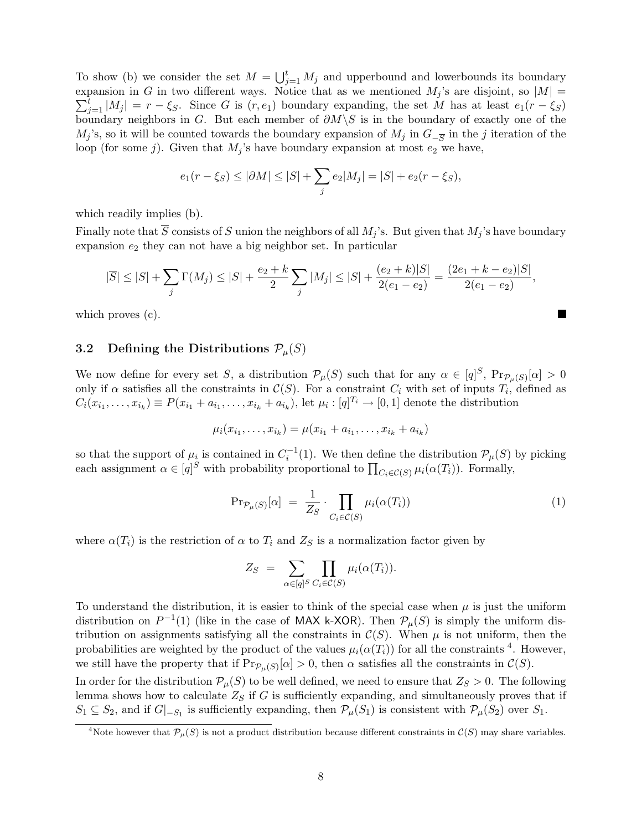To show (b) we consider the set  $M = \bigcup_{j=1}^{t} M_j$  and upperbound and lowerbounds its boundary expansion in G in two different ways. Notice that as we mentioned  $M_j$ 's are disjoint, so  $|M|$  =  $\sum_{j=1}^t |M_j| = r - \xi_S$ . Since G is  $(r, e_1)$  boundary expanding, the set M has at least  $e_1(r - \xi_S)$ boundary neighbors in G. But each member of  $\partial M \backslash S$  is in the boundary of exactly one of the  $M_j$ 's, so it will be counted towards the boundary expansion of  $M_j$  in  $G_{-\overline{S}}$  in the j iteration of the loop (for some j). Given that  $M_j$ 's have boundary expansion at most  $e_2$  we have,

$$
e_1(r - \xi_S) \le |\partial M| \le |S| + \sum_j e_2|M_j| = |S| + e_2(r - \xi_S),
$$

which readily implies (b).

Finally note that  $\overline{S}$  consists of S union the neighbors of all  $M_j$ 's. But given that  $M_j$ 's have boundary expansion  $e_2$  they can not have a big neighbor set. In particular

$$
|\overline{S}| \leq |S| + \sum_{j} \Gamma(M_j) \leq |S| + \frac{e_2 + k}{2} \sum_{j} |M_j| \leq |S| + \frac{(e_2 + k)|S|}{2(e_1 - e_2)} = \frac{(2e_1 + k - e_2)|S|}{2(e_1 - e_2)},
$$

which proves (c).

#### 3.2 Defining the Distributions  $P_\mu(S)$

We now define for every set S, a distribution  $\mathcal{P}_{\mu}(S)$  such that for any  $\alpha \in [q]^S$ ,  $\Pr_{\mathcal{P}_{\mu}(S)}[\alpha] > 0$ only if  $\alpha$  satisfies all the constraints in  $\mathcal{C}(S)$ . For a constraint  $C_i$  with set of inputs  $T_i$ , defined as  $C_i(x_{i_1},\ldots,x_{i_k})\equiv P(x_{i_1}+a_{i_1},\ldots,x_{i_k}+a_{i_k}),$  let  $\mu_i:[q]^{T_i}\to[0,1]$  denote the distribution

$$
\mu_i(x_{i_1},\ldots,x_{i_k})=\mu(x_{i_1}+a_{i_1},\ldots,x_{i_k}+a_{i_k})
$$

so that the support of  $\mu_i$  is contained in  $C_i^{-1}(1)$ . We then define the distribution  $\mathcal{P}_\mu(S)$  by picking each assignment  $\alpha \in [q]^S$  with probability proportional to  $\prod_{C_i \in \mathcal{C}(S)} \mu_i(\alpha(T_i))$ . Formally,

$$
\Pr_{\mathcal{P}_{\mu}(S)}[\alpha] = \frac{1}{Z_S} \cdot \prod_{C_i \in \mathcal{C}(S)} \mu_i(\alpha(T_i)) \tag{1}
$$

where  $\alpha(T_i)$  is the restriction of  $\alpha$  to  $T_i$  and  $Z_S$  is a normalization factor given by

$$
Z_S = \sum_{\alpha \in [q]^S} \prod_{C_i \in \mathcal{C}(S)} \mu_i(\alpha(T_i)).
$$

To understand the distribution, it is easier to think of the special case when  $\mu$  is just the uniform distribution on  $P^{-1}(1)$  (like in the case of MAX k-XOR). Then  $\mathcal{P}_{\mu}(S)$  is simply the uniform distribution on assignments satisfying all the constraints in  $\mathcal{C}(S)$ . When  $\mu$  is not uniform, then the probabilities are weighted by the product of the values  $\mu_i(\alpha(T_i))$  for all the constraints <sup>4</sup>. However, we still have the property that if  $\Pr_{\mathcal{P}_{\mu}(S)}[\alpha] > 0$ , then  $\alpha$  satisfies all the constraints in  $\mathcal{C}(S)$ . In order for the distribution  $\mathcal{P}_{\mu}(S)$  to be well defined, we need to ensure that  $Z_S > 0$ . The following lemma shows how to calculate  $Z<sub>S</sub>$  if G is sufficiently expanding, and simultaneously proves that if

 $S_1 \subseteq S_2$ , and if  $G|_{-S_1}$  is sufficiently expanding, then  $\mathcal{P}_\mu(S_1)$  is consistent with  $\mathcal{P}_\mu(S_2)$  over  $S_1$ .

<sup>&</sup>lt;sup>4</sup>Note however that  $\mathcal{P}_{\mu}(S)$  is not a product distribution because different constraints in  $\mathcal{C}(S)$  may share variables.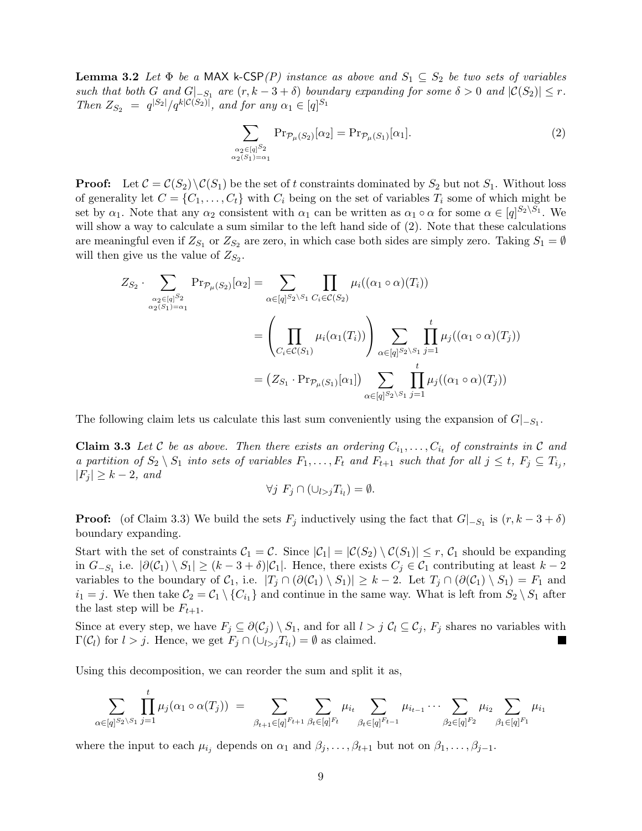**Lemma 3.2** Let  $\Phi$  be a MAX k-CSP(P) instance as above and  $S_1 \subseteq S_2$  be two sets of variables such that both G and  $G|_{-S_1}$  are  $(r, k-3+\delta)$  boundary expanding for some  $\delta > 0$  and  $|\mathcal{C}(S_2)| \leq r$ . Then  $Z_{S_2} = q^{|S_2|}/q^{k|\mathcal{C}(S_2)|}$ , and for any  $\alpha_1 \in [q]^{S_1}$ 

$$
\sum_{\substack{\alpha_2 \in [q]^{\mathcal{S}_2} \\ \alpha_2(S_1) = \alpha_1}} \Pr_{\mathcal{P}_\mu(S_2)}[\alpha_2] = \Pr_{\mathcal{P}_\mu(S_1)}[\alpha_1]. \tag{2}
$$

**Proof:** Let  $\mathcal{C} = \mathcal{C}(S_2) \setminus \mathcal{C}(S_1)$  be the set of t constraints dominated by  $S_2$  but not  $S_1$ . Without loss of generality let  $C = \{C_1, \ldots, C_t\}$  with  $C_i$  being on the set of variables  $T_i$  some of which might be set by  $\alpha_1$ . Note that any  $\alpha_2$  consistent with  $\alpha_1$  can be written as  $\alpha_1 \circ \alpha$  for some  $\alpha \in [q]^{S_2 \setminus S_1}$ . We will show a way to calculate a sum similar to the left hand side of  $(2)$ . Note that these calculations are meaningful even if  $Z_{S_1}$  or  $Z_{S_2}$  are zero, in which case both sides are simply zero. Taking  $S_1 = \emptyset$ will then give us the value of  $Z_{S_2}$ .

$$
Z_{S_2} \cdot \sum_{\alpha_2 \in [q]^{S_2} \atop \alpha_2(S_1) = \alpha_1} \Pr_{\mathcal{P}_{\mu}(S_2)}[\alpha_2] = \sum_{\alpha \in [q]^{S_2 \setminus S_1}} \prod_{C_i \in \mathcal{C}(S_2)} \mu_i((\alpha_1 \circ \alpha)(T_i))
$$
  
= 
$$
\left(\prod_{C_i \in \mathcal{C}(S_1)} \mu_i(\alpha_1(T_i))\right) \sum_{\alpha \in [q]^{S_2 \setminus S_1}} \prod_{j=1}^t \mu_j((\alpha_1 \circ \alpha)(T_j))
$$
  
= 
$$
(Z_{S_1} \cdot \Pr_{\mathcal{P}_{\mu}(S_1)}[\alpha_1]) \sum_{\alpha \in [q]^{S_2 \setminus S_1}} \prod_{j=1}^t \mu_j((\alpha_1 \circ \alpha)(T_j))
$$

The following claim lets us calculate this last sum conveniently using the expansion of  $G|_{-S_1}$ .

**Claim 3.3** Let C be as above. Then there exists an ordering  $C_{i_1}, \ldots, C_{i_t}$  of constraints in C and a partition of  $S_2 \setminus S_1$  into sets of variables  $F_1, \ldots, F_t$  and  $F_{t+1}$  such that for all  $j \leq t$ ,  $F_j \subseteq T_{i_j}$ ,  $|F_j| \geq k-2$ , and

$$
\forall j \ F_j \cap (\cup_{l > j} T_{i_l}) = \emptyset.
$$

**Proof:** (of Claim 3.3) We build the sets  $F_j$  inductively using the fact that  $G|_{-S_1}$  is  $(r, k-3+\delta)$ boundary expanding.

Start with the set of constraints  $C_1 = C$ . Since  $|C_1| = |C(S_2) \setminus C(S_1)| \leq r$ ,  $C_1$  should be expanding in  $G_{-S_1}$  i.e.  $|\partial(\mathcal{C}_1) \setminus S_1| \geq (k-3+\delta)|\mathcal{C}_1|$ . Hence, there exists  $C_j \in \mathcal{C}_1$  contributing at least  $k-2$ variables to the boundary of  $\mathcal{C}_1$ , i.e.  $|T_j \cap (\partial(\mathcal{C}_1) \setminus S_1)| \geq k-2$ . Let  $T_j \cap (\partial(\mathcal{C}_1) \setminus S_1) = F_1$  and  $i_1 = j$ . We then take  $C_2 = C_1 \setminus \{C_{i_1}\}\$ and continue in the same way. What is left from  $S_2 \setminus S_1$  after the last step will be  $F_{t+1}$ .

Since at every step, we have  $F_j \subseteq \partial(\mathcal{C}_j) \setminus S_1$ , and for all  $l > j$   $\mathcal{C}_l \subseteq \mathcal{C}_j$ ,  $F_j$  shares no variables with  $\Gamma(\mathcal{C}_l)$  for  $l > j$ . Hence, we get  $F_j \cap (\cup_{l>j} T_{i_l}) = \emptyset$  as claimed. 

Using this decomposition, we can reorder the sum and split it as,

$$
\sum_{\alpha \in [q]^{S_2 \setminus S_1}} \prod_{j=1}^t \mu_j(\alpha_1 \circ \alpha(T_j)) = \sum_{\beta_{t+1} \in [q]^{F_{t+1}}} \sum_{\beta_t \in [q]^{F_t}} \mu_{i_t} \sum_{\beta_t \in [q]^{F_{t-1}}} \mu_{i_{t-1}} \cdots \sum_{\beta_2 \in [q]^{F_2}} \mu_{i_2} \sum_{\beta_1 \in [q]^{F_1}} \mu_{i_1}
$$

where the input to each  $\mu_{i_j}$  depends on  $\alpha_1$  and  $\beta_j, \ldots, \beta_{t+1}$  but not on  $\beta_1, \ldots, \beta_{j-1}$ .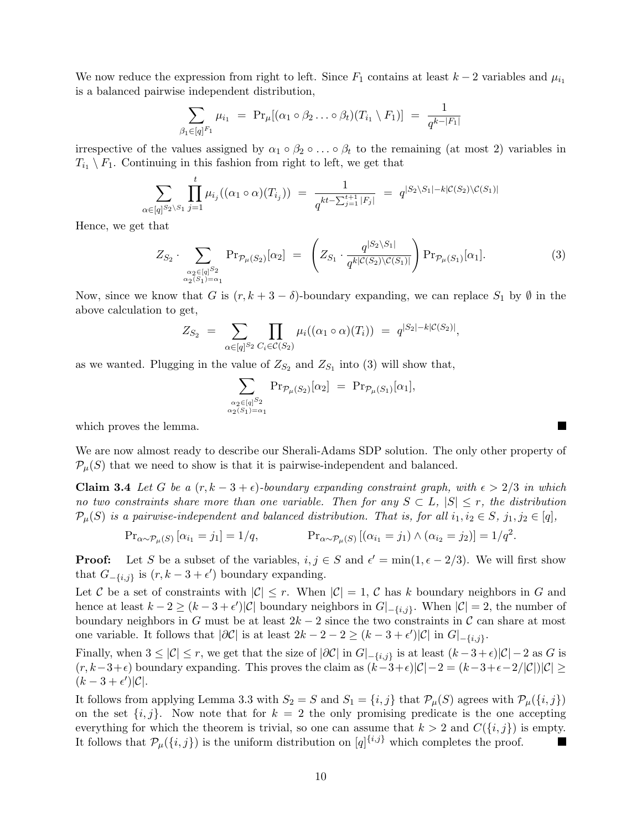We now reduce the expression from right to left. Since  $F_1$  contains at least  $k-2$  variables and  $\mu_{i_1}$ is a balanced pairwise independent distribution,

$$
\sum_{\beta_1 \in [q]^{F_1}} \mu_{i_1} = \Pr_{\mu} [(\alpha_1 \circ \beta_2 \dots \circ \beta_t)(T_{i_1} \setminus F_1)] = \frac{1}{q^{k-|F_1|}}
$$

irrespective of the values assigned by  $\alpha_1 \circ \beta_2 \circ \ldots \circ \beta_t$  to the remaining (at most 2) variables in  $T_{i_1} \setminus F_1$ . Continuing in this fashion from right to left, we get that

$$
\sum_{\alpha \in [q]^{S_2 \setminus S_1}} \prod_{j=1}^t \mu_{i_j}((\alpha_1 \circ \alpha)(T_{i_j})) = \frac{1}{q^{kt - \sum_{j=1}^{t+1} |F_j|}} = q^{|S_2 \setminus S_1| - k| \mathcal{C}(S_2) \setminus \mathcal{C}(S_1)|}
$$

Hence, we get that

$$
Z_{S_2} \cdot \sum_{\substack{\alpha_2 \in [q]^{S_2} \\ \alpha_2(S_1) = \alpha_1}} \Pr_{\mathcal{P}_{\mu}(S_2)}[\alpha_2] = \left(Z_{S_1} \cdot \frac{q^{|S_2 \setminus S_1|}}{q^{k|\mathcal{C}(S_2) \setminus \mathcal{C}(S_1)|}}\right) \Pr_{\mathcal{P}_{\mu}(S_1)}[\alpha_1].
$$
\n(3)

Now, since we know that G is  $(r, k+3-\delta)$ -boundary expanding, we can replace  $S_1$  by  $\emptyset$  in the above calculation to get,

$$
Z_{S_2} = \sum_{\alpha \in [q]^{S_2}} \prod_{C_i \in \mathcal{C}(S_2)} \mu_i((\alpha_1 \circ \alpha)(T_i)) = q^{|S_2| - k|\mathcal{C}(S_2)|},
$$

as we wanted. Plugging in the value of  $Z_{S_2}$  and  $Z_{S_1}$  into (3) will show that,

$$
\sum_{\substack{\alpha_2 \in [q]^{S_2} \\ \alpha_2(S_1) = \alpha_1}} \Pr_{\mathcal{P}_{\mu}(S_2)}[\alpha_2] = \Pr_{\mathcal{P}_{\mu}(S_1)}[\alpha_1],
$$

which proves the lemma.

We are now almost ready to describe our Sherali-Adams SDP solution. The only other property of  $\mathcal{P}_{\mu}(S)$  that we need to show is that it is pairwise-independent and balanced.

Claim 3.4 Let G be a  $(r, k - 3 + \epsilon)$ -boundary expanding constraint graph, with  $\epsilon > 2/3$  in which no two constraints share more than one variable. Then for any  $S \subset L$ ,  $|S| \leq r$ , the distribution  $\mathcal{P}_{\mu}(S)$  is a pairwise-independent and balanced distribution. That is, for all  $i_1, i_2 \in S$ ,  $j_1, j_2 \in [q]$ ,

$$
\Pr_{\alpha \sim \mathcal{P}_{\mu}(S)} [\alpha_{i_1} = j_1] = 1/q, \qquad \Pr_{\alpha \sim \mathcal{P}_{\mu}(S)} [(\alpha_{i_1} = j_1) \wedge (\alpha_{i_2} = j_2)] = 1/q^2.
$$

**Proof:** Let S be a subset of the variables,  $i, j \in S$  and  $\epsilon' = \min(1, \epsilon - 2/3)$ . We will first show that  $G_{-\{i,j\}}$  is  $(r, k-3+\epsilon')$  boundary expanding.

Let C be a set of constraints with  $|\mathcal{C}| \leq r$ . When  $|\mathcal{C}| = 1$ , C has k boundary neighbors in G and hence at least  $k - 2 \ge (k - 3 + \epsilon') |\mathcal{C}|$  boundary neighbors in  $G|_{\{-i,j\}}$ . When  $|\mathcal{C}| = 2$ , the number of boundary neighbors in G must be at least  $2k-2$  since the two constraints in C can share at most one variable. It follows that  $|\partial \mathcal{C}|$  is at least  $2k - 2 - 2 \ge (k - 3 + \epsilon')|\mathcal{C}|$  in  $G|_{-\{i,j\}}$ .

Finally, when  $3 \leq |\mathcal{C}| \leq r$ , we get that the size of  $|\partial \mathcal{C}|$  in  $G|_{-\{i,j\}}$  is at least  $(k-3+\epsilon)|\mathcal{C}|-2$  as G is  $(r, k-3+\epsilon)$  boundary expanding. This proves the claim as  $(k-3+\epsilon)|\mathcal{C}|-2 = (k-3+\epsilon-2/|\mathcal{C}|)|\mathcal{C}| \ge$  $(k-3+\epsilon')|\mathcal{C}|.$ 

It follows from applying Lemma 3.3 with  $S_2 = S$  and  $S_1 = \{i, j\}$  that  $\mathcal{P}_\mu(S)$  agrees with  $\mathcal{P}_\mu(\{i, j\})$ on the set  $\{i, j\}$ . Now note that for  $k = 2$  the only promising predicate is the one accepting everything for which the theorem is trivial, so one can assume that  $k > 2$  and  $C({i, j})$  is empty. It follows that  $\mathcal{P}_{\mu}(\{i,j\})$  is the uniform distribution on  $[q]$ <sup>{i,j}</sup> which completes the proof. п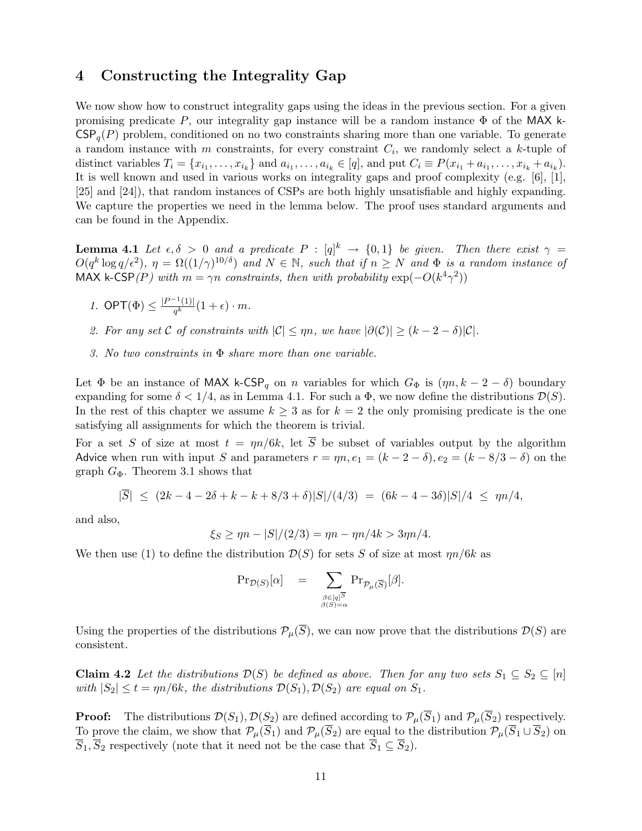# 4 Constructing the Integrality Gap

We now show how to construct integrality gaps using the ideas in the previous section. For a given promising predicate P, our integrality gap instance will be a random instance  $\Phi$  of the MAX k- $CSP<sub>q</sub>(P)$  problem, conditioned on no two constraints sharing more than one variable. To generate a random instance with m constraints, for every constraint  $C_i$ , we randomly select a k-tuple of distinct variables  $T_i = \{x_{i_1}, \ldots, x_{i_k}\}\$ and  $a_{i_1}, \ldots, a_{i_k} \in [q]$ , and put  $C_i \equiv P(x_{i_1} + a_{i_1}, \ldots, x_{i_k} + a_{i_k})$ . It is well known and used in various works on integrality gaps and proof complexity (e.g. [6], [1], [25] and [24]), that random instances of CSPs are both highly unsatisfiable and highly expanding. We capture the properties we need in the lemma below. The proof uses standard arguments and can be found in the Appendix.

**Lemma 4.1** Let  $\epsilon, \delta > 0$  and a predicate  $P : [q]^k \to \{0,1\}$  be given. Then there exist  $\gamma =$  $O(q^k \log q/\epsilon^2)$ ,  $\eta = \Omega((1/\gamma)^{10/\delta})$  and  $N \in \mathbb{N}$ , such that if  $n \geq N$  and  $\Phi$  is a random instance of MAX k-CSP(P) with  $m = \gamma n$  constraints, then with probability  $\exp(-O(k^4 \gamma^2))$ 

- 1. OPT $(\Phi) \leq \frac{|P^{-1}(1)|}{\sigma_k^k}$  $\frac{1}{q^k} (1 + \epsilon) \cdot m$ .
- 2. For any set C of constraints with  $|\mathcal{C}| \le \eta n$ , we have  $|\partial(\mathcal{C})| \ge (k-2-\delta)|\mathcal{C}|$ .
- 3. No two constraints in Φ share more than one variable.

Let  $\Phi$  be an instance of MAX k-CSP<sub>q</sub> on n variables for which  $G_{\Phi}$  is  $(\eta n, k - 2 - \delta)$  boundary expanding for some  $\delta < 1/4$ , as in Lemma 4.1. For such a  $\Phi$ , we now define the distributions  $\mathcal{D}(S)$ . In the rest of this chapter we assume  $k \geq 3$  as for  $k = 2$  the only promising predicate is the one satisfying all assignments for which the theorem is trivial.

For a set S of size at most  $t = \eta n/6k$ , let  $\overline{S}$  be subset of variables output by the algorithm Advice when run with input S and parameters  $r = \eta n, e_1 = (k - 2 - \delta), e_2 = (k - 8/3 - \delta)$  on the graph  $G_{\Phi}$ . Theorem 3.1 shows that

$$
|\overline{S}| \le (2k - 4 - 2\delta + k - k + 8/3 + \delta)|S|/(4/3) = (6k - 4 - 3\delta)|S|/4 \le \eta n/4,
$$

and also,

$$
\xi_S \ge \eta n - |S|/(2/3) = \eta n - \eta n/4k > 3\eta n/4.
$$

We then use (1) to define the distribution  $\mathcal{D}(S)$  for sets S of size at most  $\eta n/6k$  as

$$
\mathrm{Pr}_{\mathcal{D}(S)}[\alpha] \quad = \quad \sum_{\substack{\beta \in [q]^{\overline{S}} \\ \beta(S) = \alpha}} \mathrm{Pr}_{\mathcal{P}_{\mu}(\overline{S})}[\beta].
$$

Using the properties of the distributions  $\mathcal{P}_{\mu}(\overline{S})$ , we can now prove that the distributions  $\mathcal{D}(S)$  are consistent.

**Claim 4.2** Let the distributions  $\mathcal{D}(S)$  be defined as above. Then for any two sets  $S_1 \subseteq S_2 \subseteq [n]$ with  $|S_2| \le t = \eta n/6k$ , the distributions  $\mathcal{D}(S_1), \mathcal{D}(S_2)$  are equal on  $S_1$ .

**Proof:** The distributions  $\mathcal{D}(S_1)$ ,  $\mathcal{D}(S_2)$  are defined according to  $\mathcal{P}_{\mu}(\overline{S}_1)$  and  $\mathcal{P}_{\mu}(\overline{S}_2)$  respectively. To prove the claim, we show that  $\mathcal{P}_{\mu}(\overline{S}_1)$  and  $\mathcal{P}_{\mu}(\overline{S}_2)$  are equal to the distribution  $\mathcal{P}_{\mu}(\overline{S}_1 \cup \overline{S}_2)$  on  $\overline{S}_1$ ,  $\overline{S}_2$  respectively (note that it need not be the case that  $\overline{S}_1 \subseteq \overline{S}_2$ ).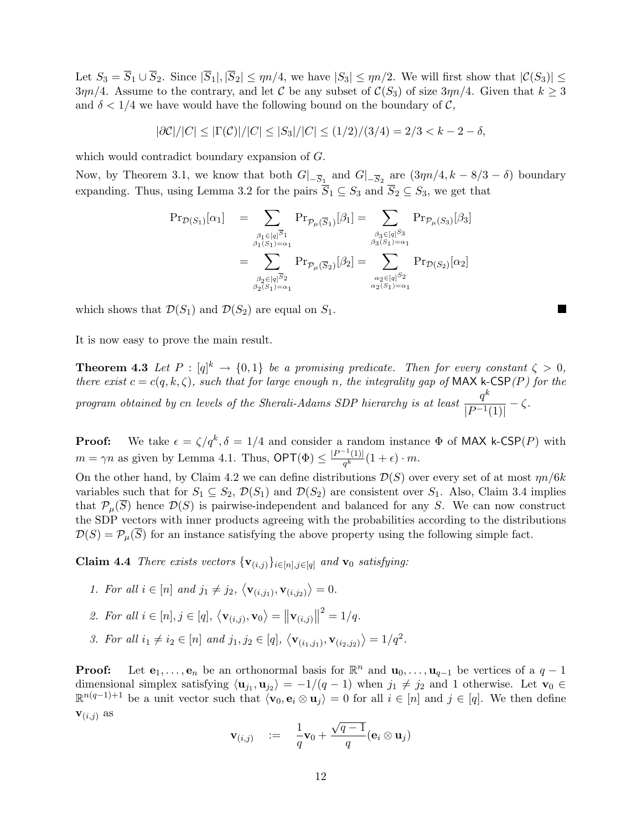Let  $S_3 = \overline{S}_1 \cup \overline{S}_2$ . Since  $|\overline{S}_1|, |\overline{S}_2| \le \eta n/4$ , we have  $|S_3| \le \eta n/2$ . We will first show that  $|\mathcal{C}(S_3)| \le$  $3\eta n/4$ . Assume to the contrary, and let C be any subset of  $\mathcal{C}(S_3)$  of size  $3\eta n/4$ . Given that  $k \geq 3$ and  $\delta < 1/4$  we have would have the following bound on the boundary of C,

$$
|\partial \mathcal{C}|/|C| \le |\Gamma(\mathcal{C})|/|C| \le |S_3|/|C| \le (1/2)/(3/4) = 2/3 < k - 2 - \delta,
$$

which would contradict boundary expansion of G.

Now, by Theorem 3.1, we know that both  $G|_{-\overline{S}_1}$  and  $G|_{-\overline{S}_2}$  are  $(3\eta n/4, k - 8/3 - \delta)$  boundary expanding. Thus, using Lemma 3.2 for the pairs  $\overline{S}_1 \subseteq S_3$  and  $\overline{S}_2 \subseteq S_3$ , we get that

$$
\begin{array}{ll} \Pr_{\mathcal{D}(S_1)}[\alpha_1] & = \sum_{\beta_1 \in [q]^{\overline{S}_1} \atop \beta_1(S_1) = \alpha_1} \Pr_{\mathcal{P}_{\mu}(\overline{S}_1)}[\beta_1] = \sum_{\beta_3 \in [q]^{\overline{S}_3} \atop \beta_3(S_1) = \alpha_1} \Pr_{\mathcal{P}_{\mu}(S_3)}[\beta_3] \\ & = \sum_{\beta_2 \in [q]^{\overline{S}_2} \atop \beta_2(S_1) = \alpha_1} \Pr_{\mathcal{P}_{\mu}(\overline{S}_2)}[\beta_2] = \sum_{\alpha_2 \in [q]^{\overline{S}_2} \atop \alpha_2(S_1) = \alpha_1} \Pr_{\mathcal{D}(S_2)}[\alpha_2] \end{array}
$$

 $\mathcal{L}$ 

which shows that  $\mathcal{D}(S_1)$  and  $\mathcal{D}(S_2)$  are equal on  $S_1$ .

It is now easy to prove the main result.

**Theorem 4.3** Let  $P : [q]^k \to \{0,1\}$  be a promising predicate. Then for every constant  $\zeta > 0$ , there exist  $c = c(q, k, \zeta)$ , such that for large enough n, the integrality gap of MAX k-CSP(P) for the program obtained by cn levels of the Sherali-Adams SDP hierarchy is at least  $\frac{q^k}{1-\epsilon}$  $\frac{q}{|P^{-1}(1)|} - \zeta.$ 

**Proof:** We take  $\epsilon = \zeta/q^k$ ,  $\delta = 1/4$  and consider a random instance  $\Phi$  of MAX k-CSP(P) with  $m = \gamma n$  as given by Lemma 4.1. Thus,  $\mathsf{OPT}(\Phi) \leq \frac{|P^{-1}(1)|}{\sigma^k}$  $\frac{1}{q^k} (1 + \epsilon) \cdot m.$ 

On the other hand, by Claim 4.2 we can define distributions  $\mathcal{D}(S)$  over every set of at most  $\eta n/6k$ variables such that for  $S_1 \subseteq S_2$ ,  $\mathcal{D}(S_1)$  and  $\mathcal{D}(S_2)$  are consistent over  $S_1$ . Also, Claim 3.4 implies that  $\mathcal{P}_{\mu}(S)$  hence  $\mathcal{D}(S)$  is pairwise-independent and balanced for any S. We can now construct the SDP vectors with inner products agreeing with the probabilities according to the distributions  $\mathcal{D}(S) = \mathcal{P}_{\mu}(S)$  for an instance satisfying the above property using the following simple fact.

**Claim 4.4** There exists vectors  $\{v_{(i,j)}\}_{i\in[n],j\in[q]}$  and  $v_0$  satisfying:

- 1. For all  $i \in [n]$  and  $j_1 \neq j_2$ ,  $\langle \mathbf{v}_{(i,j_1)}, \mathbf{v}_{(i,j_2)} \rangle = 0$ .
- 2. For all  $i \in [n], j \in [q], \langle \mathbf{v}_{(i,j)}, \mathbf{v}_0 \rangle = ||\mathbf{v}_{(i,j)}||^2 = 1/q.$
- 3. For all  $i_1 \neq i_2 \in [n]$  and  $j_1, j_2 \in [q]$ ,  $\langle \mathbf{v}_{(i_1,j_1)}, \mathbf{v}_{(i_2,j_2)} \rangle = 1/q^2$ .

**Proof:** Let  $e_1, \ldots, e_n$  be an orthonormal basis for  $\mathbb{R}^n$  and  $\mathbf{u}_0, \ldots, \mathbf{u}_{q-1}$  be vertices of a  $q-1$ dimensional simplex satisfying  $\langle \mathbf{u}_{j_1}, \mathbf{u}_{j_2} \rangle = -1/(q-1)$  when  $j_1 \neq j_2$  and 1 otherwise. Let  $\mathbf{v}_0 \in$  $\mathbb{R}^{n(q-1)+1}$  be a unit vector such that  $\langle \mathbf{v}_0, \mathbf{e}_i \otimes \mathbf{u}_j \rangle = 0$  for all  $i \in [n]$  and  $j \in [q]$ . We then define  **as** √

$$
\mathbf{v}_{(i,j)} \quad := \quad \frac{1}{q}\mathbf{v}_0 + \frac{\sqrt{q-1}}{q}(\mathbf{e}_i \otimes \mathbf{u}_j)
$$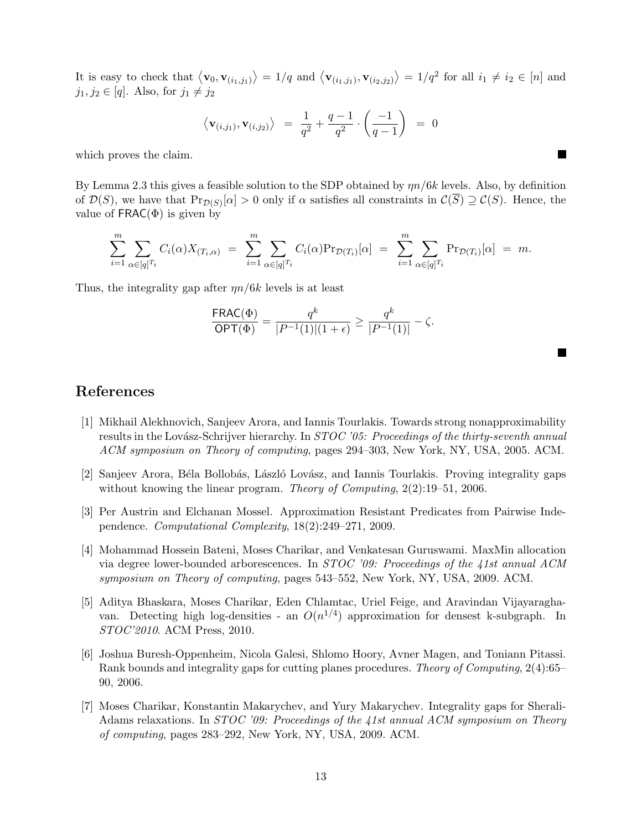It is easy to check that  $\langle \mathbf{v}_0, \mathbf{v}_{(i_1,j_1)} \rangle = 1/q$  and  $\langle \mathbf{v}_{(i_1,j_1)}, \mathbf{v}_{(i_2,j_2)} \rangle = 1/q^2$  for all  $i_1 \neq i_2 \in [n]$  and  $j_1, j_2 \in [q]$ . Also, for  $j_1 \neq j_2$ 

$$
\langle \mathbf{v}_{(i,j_1)}, \mathbf{v}_{(i,j_2)} \rangle = \frac{1}{q^2} + \frac{q-1}{q^2} \cdot \left( \frac{-1}{q-1} \right) = 0
$$

 $\blacksquare$ 

 $\mathcal{L}$ 

which proves the claim.

By Lemma 2.3 this gives a feasible solution to the SDP obtained by  $\eta n/6k$  levels. Also, by definition of  $\mathcal{D}(S)$ , we have that  $\Pr_{\mathcal{D}(S)}[\alpha] > 0$  only if  $\alpha$  satisfies all constraints in  $\mathcal{C}(\overline{S}) \supseteq \mathcal{C}(S)$ . Hence, the value of  $FRAC(\Phi)$  is given by

$$
\sum_{i=1}^{m} \sum_{\alpha \in [q]^{T_i}} C_i(\alpha) X_{(T_i,\alpha)} = \sum_{i=1}^{m} \sum_{\alpha \in [q]^{T_i}} C_i(\alpha) \Pr_{\mathcal{D}(T_i)}[\alpha] = \sum_{i=1}^{m} \sum_{\alpha \in [q]^{T_i}} \Pr_{\mathcal{D}(T_i)}[\alpha] = m.
$$

Thus, the integrality gap after  $\eta n/6k$  levels is at least

$$
\frac{\mathsf{FRAC}(\Phi)}{\mathsf{OPT}(\Phi)} = \frac{q^k}{|P^{-1}(1)|(1+\epsilon)} \ge \frac{q^k}{|P^{-1}(1)|} - \zeta.
$$

## References

- [1] Mikhail Alekhnovich, Sanjeev Arora, and Iannis Tourlakis. Towards strong nonapproximability results in the Lovász-Schrijver hierarchy. In *STOC '05: Proceedings of the thirty-seventh annual* ACM symposium on Theory of computing, pages 294–303, New York, NY, USA, 2005. ACM.
- [2] Sanjeev Arora, Béla Bollobás, László Lovász, and Iannis Tourlakis. Proving integrality gaps without knowing the linear program. Theory of Computing,  $2(2):19-51$ , 2006.
- [3] Per Austrin and Elchanan Mossel. Approximation Resistant Predicates from Pairwise Independence. Computational Complexity, 18(2):249–271, 2009.
- [4] Mohammad Hossein Bateni, Moses Charikar, and Venkatesan Guruswami. MaxMin allocation via degree lower-bounded arborescences. In STOC '09: Proceedings of the 41st annual ACM symposium on Theory of computing, pages 543–552, New York, NY, USA, 2009. ACM.
- [5] Aditya Bhaskara, Moses Charikar, Eden Chlamtac, Uriel Feige, and Aravindan Vijayaraghavan. Detecting high log-densities - an  $O(n^{1/4})$  approximation for densest k-subgraph. In STOC'2010. ACM Press, 2010.
- [6] Joshua Buresh-Oppenheim, Nicola Galesi, Shlomo Hoory, Avner Magen, and Toniann Pitassi. Rank bounds and integrality gaps for cutting planes procedures. Theory of Computing, 2(4):65– 90, 2006.
- [7] Moses Charikar, Konstantin Makarychev, and Yury Makarychev. Integrality gaps for Sherali-Adams relaxations. In *STOC '09: Proceedings of the 41st annual ACM symposium on Theory* of computing, pages 283–292, New York, NY, USA, 2009. ACM.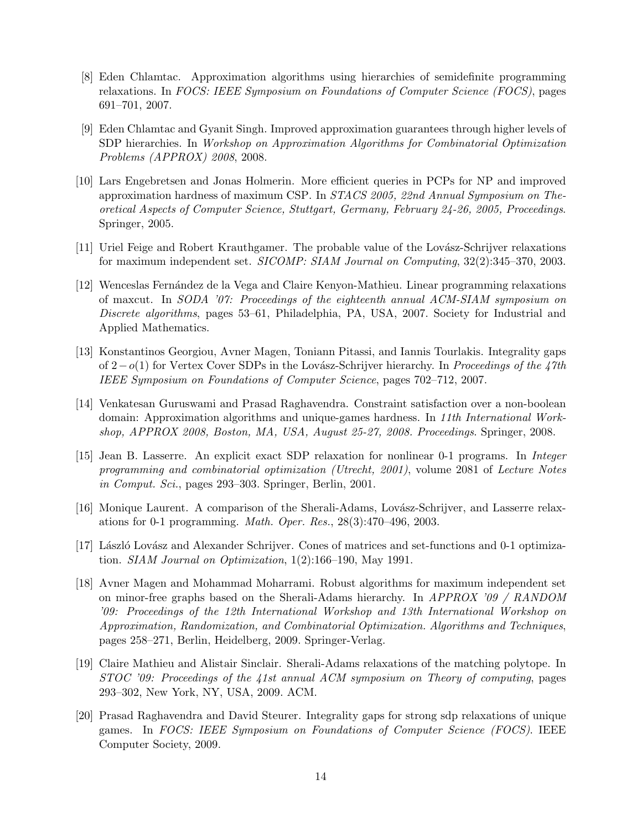- [8] Eden Chlamtac. Approximation algorithms using hierarchies of semidefinite programming relaxations. In FOCS: IEEE Symposium on Foundations of Computer Science (FOCS), pages 691–701, 2007.
- [9] Eden Chlamtac and Gyanit Singh. Improved approximation guarantees through higher levels of SDP hierarchies. In Workshop on Approximation Algorithms for Combinatorial Optimization Problems (APPROX) 2008, 2008.
- [10] Lars Engebretsen and Jonas Holmerin. More efficient queries in PCPs for NP and improved approximation hardness of maximum CSP. In STACS 2005, 22nd Annual Symposium on Theoretical Aspects of Computer Science, Stuttgart, Germany, February 24-26, 2005, Proceedings. Springer, 2005.
- [11] Uriel Feige and Robert Krauthgamer. The probable value of the Lovász-Schrijver relaxations for maximum independent set. SICOMP: SIAM Journal on Computing, 32(2):345–370, 2003.
- [12] Wenceslas Fern´andez de la Vega and Claire Kenyon-Mathieu. Linear programming relaxations of maxcut. In SODA '07: Proceedings of the eighteenth annual ACM-SIAM symposium on Discrete algorithms, pages 53–61, Philadelphia, PA, USA, 2007. Society for Industrial and Applied Mathematics.
- [13] Konstantinos Georgiou, Avner Magen, Toniann Pitassi, and Iannis Tourlakis. Integrality gaps of 2−o(1) for Vertex Cover SDPs in the Lovász-Schrijver hierarchy. In Proceedings of the 47th IEEE Symposium on Foundations of Computer Science, pages 702–712, 2007.
- [14] Venkatesan Guruswami and Prasad Raghavendra. Constraint satisfaction over a non-boolean domain: Approximation algorithms and unique-games hardness. In 11th International Workshop, APPROX 2008, Boston, MA, USA, August 25-27, 2008. Proceedings. Springer, 2008.
- [15] Jean B. Lasserre. An explicit exact SDP relaxation for nonlinear 0-1 programs. In Integer programming and combinatorial optimization (Utrecht, 2001), volume 2081 of Lecture Notes in Comput. Sci., pages 293–303. Springer, Berlin, 2001.
- [16] Monique Laurent. A comparison of the Sherali-Adams, Lovász-Schrijver, and Lasserre relaxations for 0-1 programming. Math. Oper. Res., 28(3):470–496, 2003.
- [17] László Lovász and Alexander Schrijver. Cones of matrices and set-functions and 0-1 optimization. SIAM Journal on Optimization, 1(2):166–190, May 1991.
- [18] Avner Magen and Mohammad Moharrami. Robust algorithms for maximum independent set on minor-free graphs based on the Sherali-Adams hierarchy. In APPROX '09 / RANDOM '09: Proceedings of the 12th International Workshop and 13th International Workshop on Approximation, Randomization, and Combinatorial Optimization. Algorithms and Techniques, pages 258–271, Berlin, Heidelberg, 2009. Springer-Verlag.
- [19] Claire Mathieu and Alistair Sinclair. Sherali-Adams relaxations of the matching polytope. In STOC '09: Proceedings of the 41st annual ACM symposium on Theory of computing, pages 293–302, New York, NY, USA, 2009. ACM.
- [20] Prasad Raghavendra and David Steurer. Integrality gaps for strong sdp relaxations of unique games. In FOCS: IEEE Symposium on Foundations of Computer Science (FOCS). IEEE Computer Society, 2009.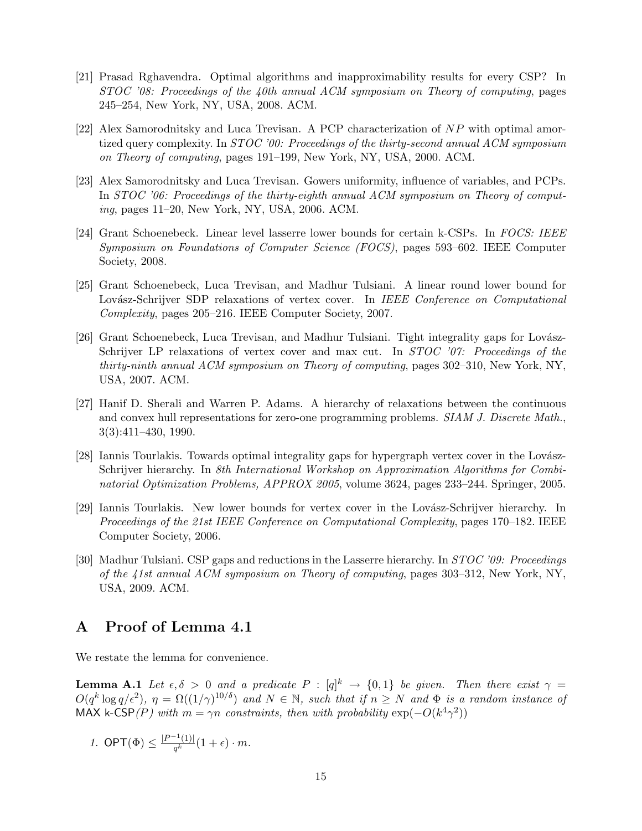- [21] Prasad Rghavendra. Optimal algorithms and inapproximability results for every CSP? In STOC '08: Proceedings of the 40th annual ACM symposium on Theory of computing, pages 245–254, New York, NY, USA, 2008. ACM.
- [22] Alex Samorodnitsky and Luca Trevisan. A PCP characterization of NP with optimal amortized query complexity. In STOC '00: Proceedings of the thirty-second annual ACM symposium on Theory of computing, pages 191–199, New York, NY, USA, 2000. ACM.
- [23] Alex Samorodnitsky and Luca Trevisan. Gowers uniformity, influence of variables, and PCPs. In STOC '06: Proceedings of the thirty-eighth annual ACM symposium on Theory of computing, pages 11–20, New York, NY, USA, 2006. ACM.
- [24] Grant Schoenebeck. Linear level lasserre lower bounds for certain k-CSPs. In FOCS: IEEE Symposium on Foundations of Computer Science (FOCS), pages 593–602. IEEE Computer Society, 2008.
- [25] Grant Schoenebeck, Luca Trevisan, and Madhur Tulsiani. A linear round lower bound for Lovász-Schrijver SDP relaxations of vertex cover. In IEEE Conference on Computational Complexity, pages 205–216. IEEE Computer Society, 2007.
- [26] Grant Schoenebeck, Luca Trevisan, and Madhur Tulsiani. Tight integrality gaps for Lovász-Schrijver LP relaxations of vertex cover and max cut. In *STOC '07: Proceedings of the* thirty-ninth annual ACM symposium on Theory of computing, pages 302–310, New York, NY, USA, 2007. ACM.
- [27] Hanif D. Sherali and Warren P. Adams. A hierarchy of relaxations between the continuous and convex hull representations for zero-one programming problems. *SIAM J. Discrete Math.*, 3(3):411–430, 1990.
- [28] Iannis Tourlakis. Towards optimal integrality gaps for hypergraph vertex cover in the Lovász-Schrijver hierarchy. In 8th International Workshop on Approximation Algorithms for Combinatorial Optimization Problems, APPROX 2005, volume 3624, pages 233–244. Springer, 2005.
- [29] Iannis Tourlakis. New lower bounds for vertex cover in the Lovász-Schrijver hierarchy. In Proceedings of the 21st IEEE Conference on Computational Complexity, pages 170–182. IEEE Computer Society, 2006.
- [30] Madhur Tulsiani. CSP gaps and reductions in the Lasserre hierarchy. In STOC '09: Proceedings of the 41st annual ACM symposium on Theory of computing, pages 303–312, New York, NY, USA, 2009. ACM.

## A Proof of Lemma 4.1

We restate the lemma for convenience.

**Lemma A.1** Let  $\epsilon, \delta > 0$  and a predicate  $P : [q]^k \to \{0,1\}$  be given. Then there exist  $\gamma =$  $O(q^k \log q/\epsilon^2)$ ,  $\eta = \Omega((1/\gamma)^{10/\delta})$  and  $N \in \mathbb{N}$ , such that if  $n \geq N$  and  $\Phi$  is a random instance of MAX k-CSP(P) with  $m = \gamma n$  constraints, then with probability  $\exp(-O(k^4 \gamma^2))$ 

1. 
$$
\mathsf{OPT}(\Phi) \le \frac{|P^{-1}(1)|}{q^k}(1+\epsilon) \cdot m.
$$